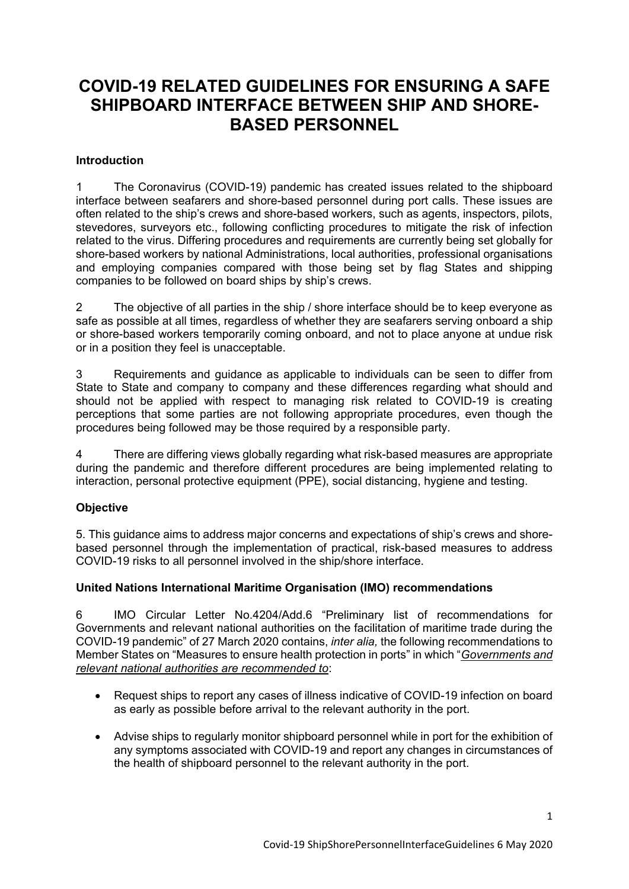# **COVID-19 RELATED GUIDELINES FOR ENSURING A SAFE SHIPBOARD INTERFACE BETWEEN SHIP AND SHORE-BASED PERSONNEL**

## **Introduction**

1 The Coronavirus (COVID-19) pandemic has created issues related to the shipboard interface between seafarers and shore-based personnel during port calls. These issues are often related to the ship's crews and shore-based workers, such as agents, inspectors, pilots, stevedores, surveyors etc., following conflicting procedures to mitigate the risk of infection related to the virus. Differing procedures and requirements are currently being set globally for shore-based workers by national Administrations, local authorities, professional organisations and employing companies compared with those being set by flag States and shipping companies to be followed on board ships by ship's crews.

2 The objective of all parties in the ship / shore interface should be to keep everyone as safe as possible at all times, regardless of whether they are seafarers serving onboard a ship or shore-based workers temporarily coming onboard, and not to place anyone at undue risk or in a position they feel is unacceptable.

3 Requirements and guidance as applicable to individuals can be seen to differ from State to State and company to company and these differences regarding what should and should not be applied with respect to managing risk related to COVID-19 is creating perceptions that some parties are not following appropriate procedures, even though the procedures being followed may be those required by a responsible party.

4 There are differing views globally regarding what risk-based measures are appropriate during the pandemic and therefore different procedures are being implemented relating to interaction, personal protective equipment (PPE), social distancing, hygiene and testing.

# **Objective**

5. This guidance aims to address major concerns and expectations of ship's crews and shorebased personnel through the implementation of practical, risk-based measures to address COVID-19 risks to all personnel involved in the ship/shore interface.

## **United Nations International Maritime Organisation (IMO) recommendations**

6 IMO Circular Letter No.4204/Add.6 "Preliminary list of recommendations for Governments and relevant national authorities on the facilitation of maritime trade during the COVID-19 pandemic" of 27 March 2020 contains, *inter alia,* the following recommendations to Member States on "Measures to ensure health protection in ports" in which "*Governments and relevant national authorities are recommended to*:

- Request ships to report any cases of illness indicative of COVID-19 infection on board as early as possible before arrival to the relevant authority in the port.
- Advise ships to regularly monitor shipboard personnel while in port for the exhibition of any symptoms associated with COVID-19 and report any changes in circumstances of the health of shipboard personnel to the relevant authority in the port.

1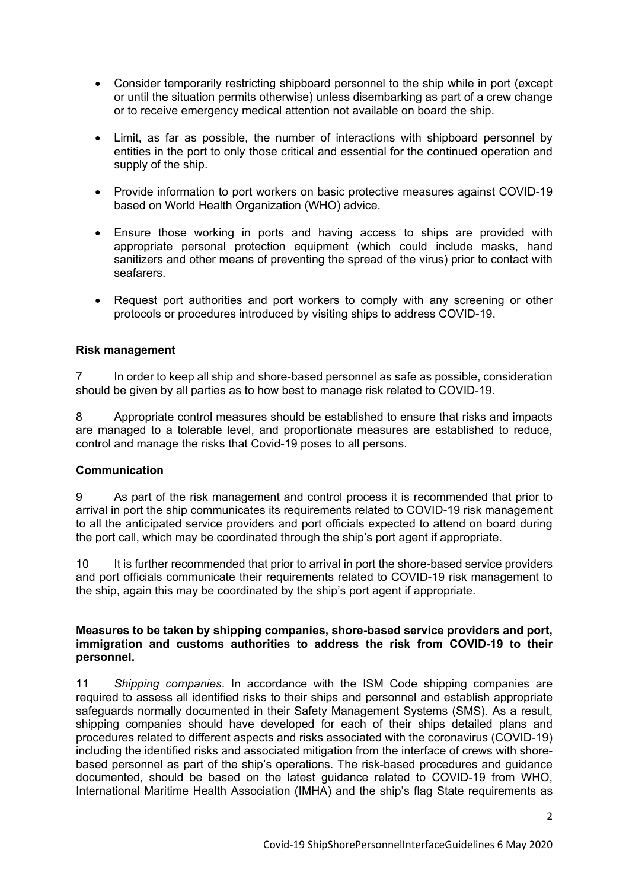- Consider temporarily restricting shipboard personnel to the ship while in port (except or until the situation permits otherwise) unless disembarking as part of a crew change or to receive emergency medical attention not available on board the ship.
- Limit, as far as possible, the number of interactions with shipboard personnel by entities in the port to only those critical and essential for the continued operation and supply of the ship.
- Provide information to port workers on basic protective measures against COVID-19 based on World Health Organization (WHO) advice.
- Ensure those working in ports and having access to ships are provided with appropriate personal protection equipment (which could include masks, hand sanitizers and other means of preventing the spread of the virus) prior to contact with seafarers.
- Request port authorities and port workers to comply with any screening or other protocols or procedures introduced by visiting ships to address COVID-19.

## **Risk management**

7 In order to keep all ship and shore-based personnel as safe as possible, consideration should be given by all parties as to how best to manage risk related to COVID-19.

8 Appropriate control measures should be established to ensure that risks and impacts are managed to a tolerable level, and proportionate measures are established to reduce, control and manage the risks that Covid-19 poses to all persons.

#### **Communication**

9 As part of the risk management and control process it is recommended that prior to arrival in port the ship communicates its requirements related to COVID-19 risk management to all the anticipated service providers and port officials expected to attend on board during the port call, which may be coordinated through the ship's port agent if appropriate.

10 It is further recommended that prior to arrival in port the shore-based service providers and port officials communicate their requirements related to COVID-19 risk management to the ship, again this may be coordinated by the ship's port agent if appropriate.

#### **Measures to be taken by shipping companies, shore-based service providers and port, immigration and customs authorities to address the risk from COVID-19 to their personnel.**

11 *Shipping companies*. In accordance with the ISM Code shipping companies are required to assess all identified risks to their ships and personnel and establish appropriate safeguards normally documented in their Safety Management Systems (SMS). As a result, shipping companies should have developed for each of their ships detailed plans and procedures related to different aspects and risks associated with the coronavirus (COVID-19) including the identified risks and associated mitigation from the interface of crews with shorebased personnel as part of the ship's operations. The risk-based procedures and guidance documented, should be based on the latest guidance related to COVID-19 from WHO, International Maritime Health Association (IMHA) and the ship's flag State requirements as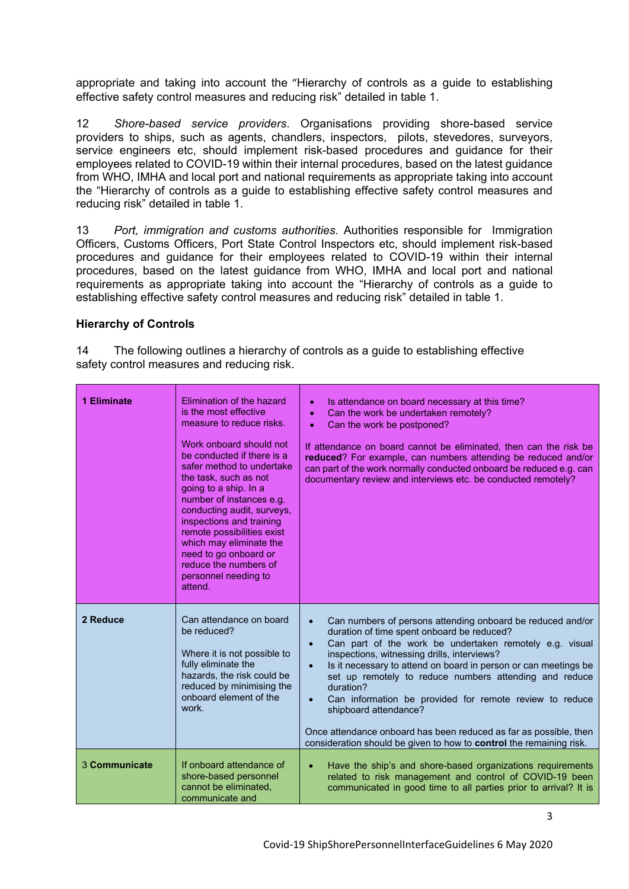appropriate and taking into account the "Hierarchy of controls as a guide to establishing effective safety control measures and reducing risk" detailed in table 1.

12 *Shore-based service providers*. Organisations providing shore-based service providers to ships, such as agents, chandlers, inspectors, pilots, stevedores, surveyors, service engineers etc, should implement risk-based procedures and guidance for their employees related to COVID-19 within their internal procedures, based on the latest guidance from WHO, IMHA and local port and national requirements as appropriate taking into account the "Hierarchy of controls as a guide to establishing effective safety control measures and reducing risk" detailed in table 1.

13 *Port, immigration and customs authorities*. Authorities responsible for Immigration Officers, Customs Officers, Port State Control Inspectors etc, should implement risk-based procedures and guidance for their employees related to COVID-19 within their internal procedures, based on the latest guidance from WHO, IMHA and local port and national requirements as appropriate taking into account the "Hierarchy of controls as a guide to establishing effective safety control measures and reducing risk" detailed in table 1.

## **Hierarchy of Controls**

14 The following outlines a hierarchy of controls as a guide to establishing effective safety control measures and reducing risk.

| 1 Eliminate   | Elimination of the hazard<br>is the most effective<br>measure to reduce risks.<br>Work onboard should not<br>be conducted if there is a<br>safer method to undertake<br>the task, such as not<br>going to a ship. In a<br>number of instances e.g.<br>conducting audit, surveys,<br>inspections and training<br>remote possibilities exist<br>which may eliminate the<br>need to go onboard or<br>reduce the numbers of<br>personnel needing to<br>attend. | Is attendance on board necessary at this time?<br>$\bullet$<br>Can the work be undertaken remotely?<br>$\bullet$<br>Can the work be postponed?<br>$\bullet$<br>If attendance on board cannot be eliminated, then can the risk be<br>reduced? For example, can numbers attending be reduced and/or<br>can part of the work normally conducted onboard be reduced e.g. can<br>documentary review and interviews etc. be conducted remotely?                                                                                                                                                                              |
|---------------|------------------------------------------------------------------------------------------------------------------------------------------------------------------------------------------------------------------------------------------------------------------------------------------------------------------------------------------------------------------------------------------------------------------------------------------------------------|------------------------------------------------------------------------------------------------------------------------------------------------------------------------------------------------------------------------------------------------------------------------------------------------------------------------------------------------------------------------------------------------------------------------------------------------------------------------------------------------------------------------------------------------------------------------------------------------------------------------|
| 2 Reduce      | Can attendance on board<br>be reduced?<br>Where it is not possible to<br>fully eliminate the<br>hazards, the risk could be<br>reduced by minimising the<br>onboard element of the<br>work.                                                                                                                                                                                                                                                                 | Can numbers of persons attending onboard be reduced and/or<br>duration of time spent onboard be reduced?<br>Can part of the work be undertaken remotely e.g. visual<br>$\bullet$<br>inspections, witnessing drills, interviews?<br>Is it necessary to attend on board in person or can meetings be<br>$\bullet$<br>set up remotely to reduce numbers attending and reduce<br>duration?<br>Can information be provided for remote review to reduce<br>shipboard attendance?<br>Once attendance onboard has been reduced as far as possible, then<br>consideration should be given to how to control the remaining risk. |
| 3 Communicate | If onboard attendance of<br>shore-based personnel<br>cannot be eliminated.<br>communicate and                                                                                                                                                                                                                                                                                                                                                              | Have the ship's and shore-based organizations requirements<br>$\bullet$<br>related to risk management and control of COVID-19 been<br>communicated in good time to all parties prior to arrival? It is                                                                                                                                                                                                                                                                                                                                                                                                                 |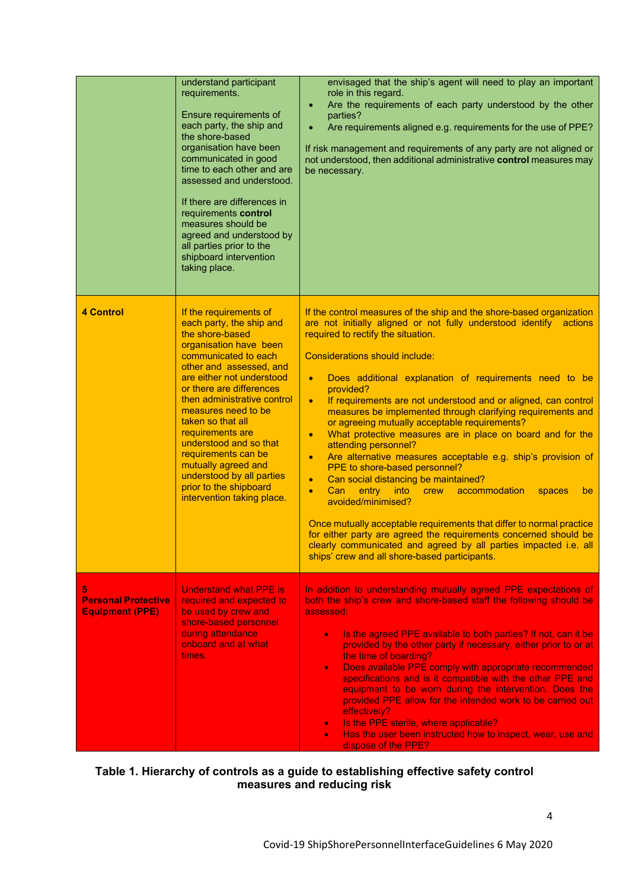|                                                           | understand participant<br>requirements.<br>Ensure requirements of<br>each party, the ship and<br>the shore-based<br>organisation have been<br>communicated in good<br>time to each other and are<br>assessed and understood.<br>If there are differences in<br>requirements control<br>measures should be<br>agreed and understood by<br>all parties prior to the<br>shipboard intervention<br>taking place.                                                            | envisaged that the ship's agent will need to play an important<br>role in this regard.<br>Are the requirements of each party understood by the other<br>$\bullet$<br>parties?<br>Are requirements aligned e.g. requirements for the use of PPE?<br>$\bullet$<br>If risk management and requirements of any party are not aligned or<br>not understood, then additional administrative control measures may<br>be necessary.                                                                                                                                                                                                                                                                                                                                                                                                                                                                                                                                                                                                                                                                                                                      |
|-----------------------------------------------------------|-------------------------------------------------------------------------------------------------------------------------------------------------------------------------------------------------------------------------------------------------------------------------------------------------------------------------------------------------------------------------------------------------------------------------------------------------------------------------|--------------------------------------------------------------------------------------------------------------------------------------------------------------------------------------------------------------------------------------------------------------------------------------------------------------------------------------------------------------------------------------------------------------------------------------------------------------------------------------------------------------------------------------------------------------------------------------------------------------------------------------------------------------------------------------------------------------------------------------------------------------------------------------------------------------------------------------------------------------------------------------------------------------------------------------------------------------------------------------------------------------------------------------------------------------------------------------------------------------------------------------------------|
| <b>4 Control</b>                                          | If the requirements of<br>each party, the ship and<br>the shore-based<br>organisation have been<br>communicated to each<br>other and assessed, and<br>are either not understood<br>or there are differences<br>then administrative control<br>measures need to be<br>taken so that all<br>requirements are<br>understood and so that<br>requirements can be<br>mutually agreed and<br>understood by all parties<br>prior to the shipboard<br>intervention taking place. | If the control measures of the ship and the shore-based organization<br>are not initially aligned or not fully understood identify actions<br>required to rectify the situation.<br>Considerations should include:<br>Does additional explanation of requirements need to be<br>$\bullet$<br>provided?<br>If requirements are not understood and or aligned, can control<br>$\bullet$<br>measures be implemented through clarifying requirements and<br>or agreeing mutually acceptable requirements?<br>What protective measures are in place on board and for the<br>$\bullet$<br>attending personnel?<br>Are alternative measures acceptable e.g. ship's provision of<br>$\bullet$<br>PPE to shore-based personnel?<br>Can social distancing be maintained?<br>$\bullet$<br>Can<br>entry<br>into<br>accommodation<br>crew<br>spaces<br>$\bullet$<br>be<br>avoided/minimised?<br>Once mutually acceptable requirements that differ to normal practice<br>for either party are agreed the requirements concerned should be<br>clearly communicated and agreed by all parties impacted i.e. all<br>ships' crew and all shore-based participants. |
| 5<br><b>Personal Protective</b><br><b>Equipment (PPE)</b> | <b>Understand what PPE is</b><br>required and expected to<br>be used by crew and<br>shore-based personnel<br>during attendance<br>onboard and at what<br>times.                                                                                                                                                                                                                                                                                                         | In addition to understanding mutually agreed PPE expectations of<br>both the ship's crew and shore-based staff the following should be<br>assessed:<br>Is the agreed PPE available to both parties? If not, can it be<br>$\bullet$<br>provided by the other party if necessary, either prior to or at<br>the time of boarding?<br>Does available PPE comply with appropriate recommended<br>$\bullet$<br>specifications and is it compatible with the other PPE and<br>equipment to be worn during the intervention. Does the<br>provided PPE allow for the intended work to be carried out<br>effectively?<br>Is the PPE sterile, where applicable?<br>$\bullet$<br>Has the user been instructed how to inspect, wear, use and<br>۰<br>dispose of the PPE?                                                                                                                                                                                                                                                                                                                                                                                      |

#### **Table 1. Hierarchy of controls as a guide to establishing effective safety control measures and reducing risk**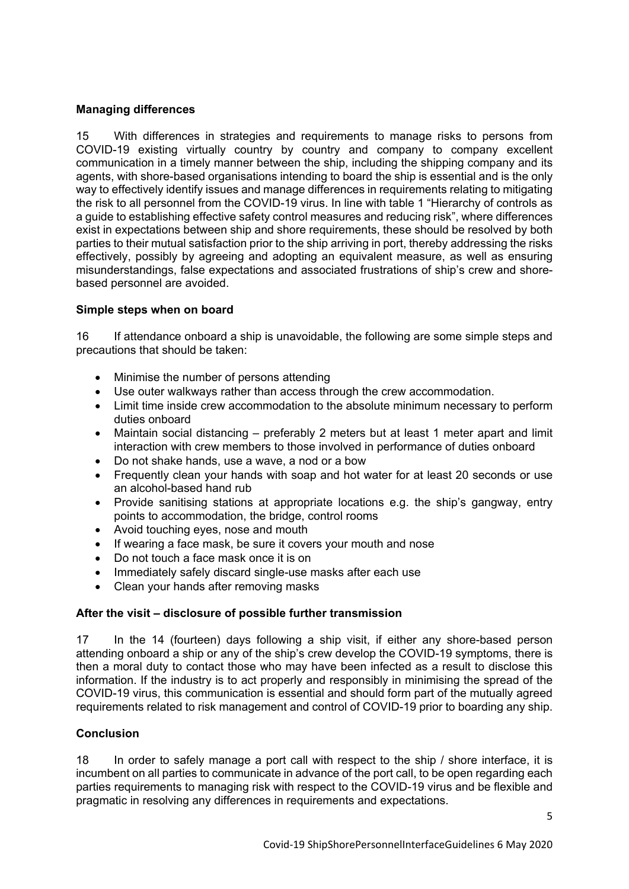# **Managing differences**

15 With differences in strategies and requirements to manage risks to persons from COVID-19 existing virtually country by country and company to company excellent communication in a timely manner between the ship, including the shipping company and its agents, with shore-based organisations intending to board the ship is essential and is the only way to effectively identify issues and manage differences in requirements relating to mitigating the risk to all personnel from the COVID-19 virus. In line with table 1 "Hierarchy of controls as a guide to establishing effective safety control measures and reducing risk", where differences exist in expectations between ship and shore requirements, these should be resolved by both parties to their mutual satisfaction prior to the ship arriving in port, thereby addressing the risks effectively, possibly by agreeing and adopting an equivalent measure, as well as ensuring misunderstandings, false expectations and associated frustrations of ship's crew and shorebased personnel are avoided.

## **Simple steps when on board**

16 If attendance onboard a ship is unavoidable, the following are some simple steps and precautions that should be taken:

- Minimise the number of persons attending
- Use outer walkways rather than access through the crew accommodation.
- Limit time inside crew accommodation to the absolute minimum necessary to perform duties onboard
- Maintain social distancing preferably 2 meters but at least 1 meter apart and limit interaction with crew members to those involved in performance of duties onboard
- Do not shake hands, use a wave, a nod or a bow
- Frequently clean your hands with soap and hot water for at least 20 seconds or use an alcohol-based hand rub
- Provide sanitising stations at appropriate locations e.g. the ship's gangway, entry points to accommodation, the bridge, control rooms
- Avoid touching eyes, nose and mouth
- If wearing a face mask, be sure it covers your mouth and nose
- Do not touch a face mask once it is on
- Immediately safely discard single-use masks after each use
- Clean your hands after removing masks

# **After the visit – disclosure of possible further transmission**

17 In the 14 (fourteen) days following a ship visit, if either any shore-based person attending onboard a ship or any of the ship's crew develop the COVID-19 symptoms, there is then a moral duty to contact those who may have been infected as a result to disclose this information. If the industry is to act properly and responsibly in minimising the spread of the COVID-19 virus, this communication is essential and should form part of the mutually agreed requirements related to risk management and control of COVID-19 prior to boarding any ship.

## **Conclusion**

18 In order to safely manage a port call with respect to the ship / shore interface, it is incumbent on all parties to communicate in advance of the port call, to be open regarding each parties requirements to managing risk with respect to the COVID-19 virus and be flexible and pragmatic in resolving any differences in requirements and expectations.

5